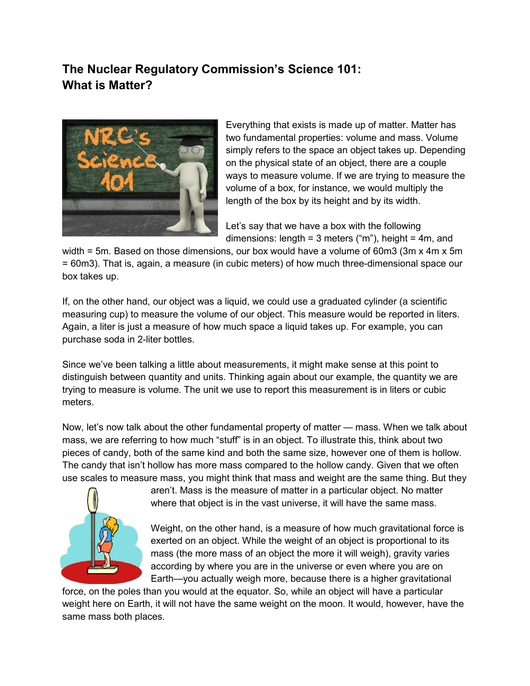## **The Nuclear Regulatory Commission's Science 101: What is Matter?**



Everything that exists is made up of matter. Matter has two fundamental properties: volume and mass. Volume simply refers to the space an object takes up. Depending on the physical state of an object, there are a couple ways to measure volume. If we are trying to measure the volume of a box, for instance, we would multiply the length of the box by its height and by its width.

Let's say that we have a box with the following dimensions: length =  $3$  meters ("m"), height =  $4m$ , and

width = 5m. Based on those dimensions, our box would have a volume of 60m3 (3m x 4m x 5m = 60m3). That is, again, a measure (in cubic meters) of how much three-dimensional space our box takes up.

If, on the other hand, our object was a liquid, we could use a graduated cylinder (a scientific measuring cup) to measure the volume of our object. This measure would be reported in liters. Again, a liter is just a measure of how much space a liquid takes up. For example, you can purchase soda in 2-liter bottles.

Since we've been talking a little about measurements, it might make sense at this point to distinguish between quantity and units. Thinking again about our example, the quantity we are trying to measure is volume. The unit we use to report this measurement is in liters or cubic meters.

Now, let's now talk about the other fundamental property of matter — mass. When we talk about mass, we are referring to how much "stuff" is in an object. To illustrate this, think about two pieces of candy, both of the same kind and both the same size, however one of them is hollow. The candy that isn't hollow has more mass compared to the hollow candy. Given that we often use scales to measure mass, you might think that mass and weight are the same thing. But they



aren't. Mass is the measure of matter in a particular object. No matter where that object is in the vast universe, it will have the same mass.

Weight, on the other hand, is a measure of how much gravitational force is exerted on an object. While the weight of an object is proportional to its mass (the more mass of an object the more it will weigh), gravity varies according by where you are in the universe or even where you are on Earth—you actually weigh more, because there is a higher gravitational

force, on the poles than you would at the equator. So, while an object will have a particular weight here on Earth, it will not have the same weight on the moon. It would, however, have the same mass both places.